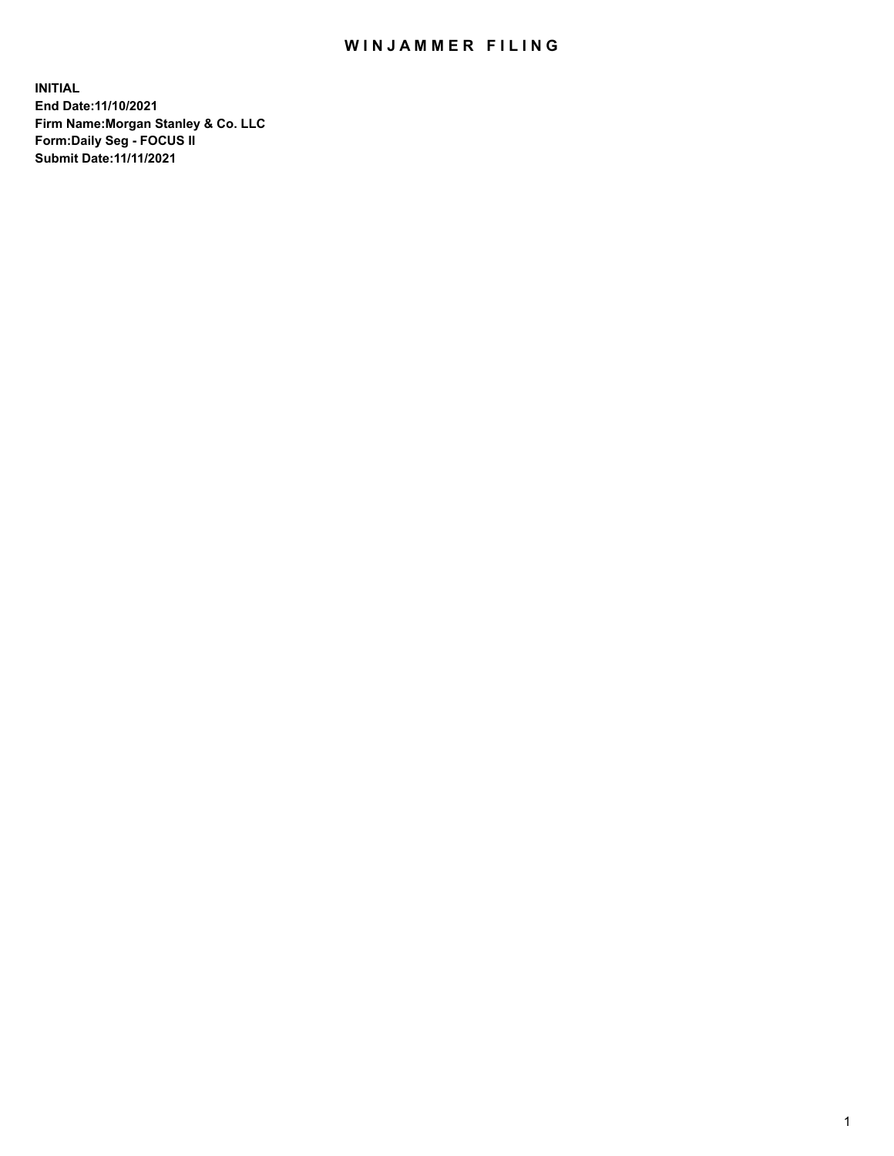## WIN JAMMER FILING

**INITIAL End Date:11/10/2021 Firm Name:Morgan Stanley & Co. LLC Form:Daily Seg - FOCUS II Submit Date:11/11/2021**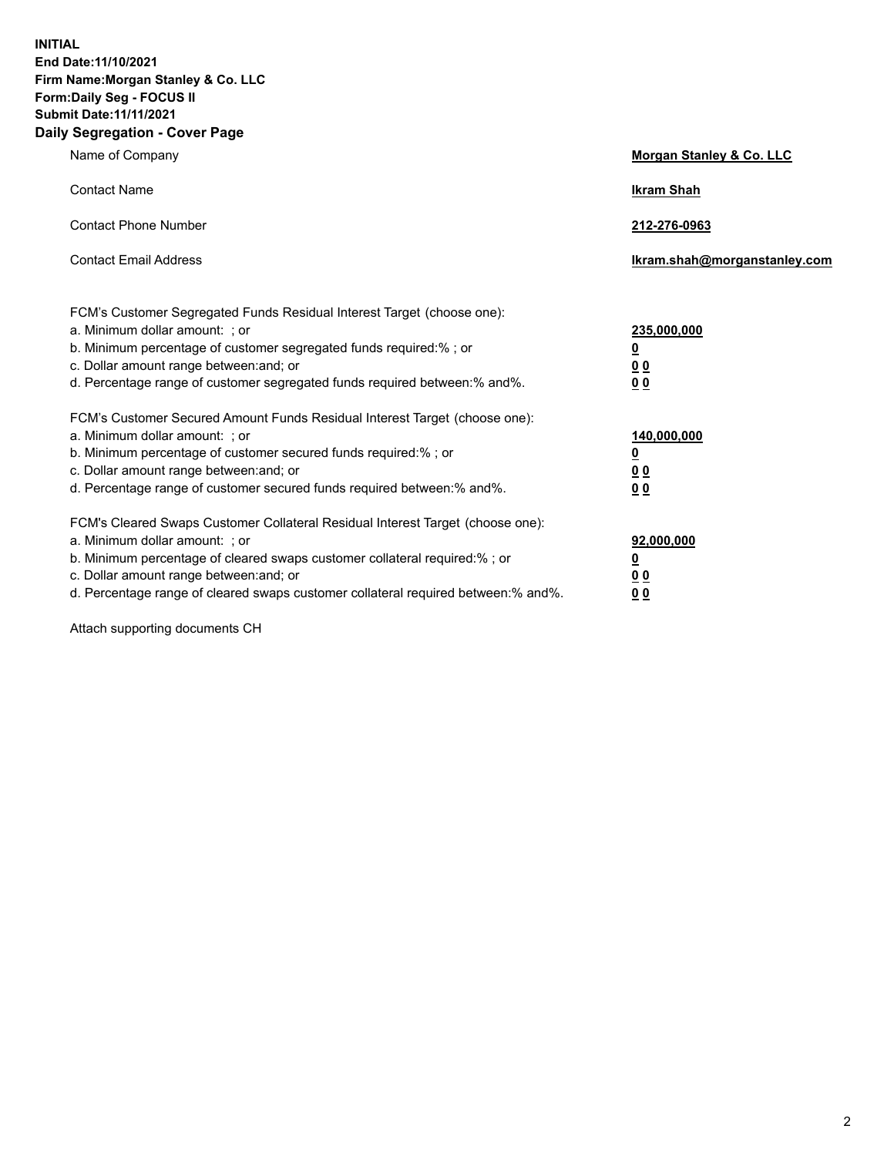**INITIAL End Date:11/10/2021 Firm Name:Morgan Stanley & Co. LLC Form:Daily Seg - FOCUS II Submit Date:11/11/2021 Daily Segregation - Cover Page**

| Name of Company                                                                                                                                                                                                                                                                                                                | Morgan Stanley & Co. LLC                                |
|--------------------------------------------------------------------------------------------------------------------------------------------------------------------------------------------------------------------------------------------------------------------------------------------------------------------------------|---------------------------------------------------------|
| <b>Contact Name</b>                                                                                                                                                                                                                                                                                                            | <b>Ikram Shah</b>                                       |
| <b>Contact Phone Number</b>                                                                                                                                                                                                                                                                                                    | 212-276-0963                                            |
| <b>Contact Email Address</b>                                                                                                                                                                                                                                                                                                   | Ikram.shah@morganstanley.com                            |
| FCM's Customer Segregated Funds Residual Interest Target (choose one):<br>a. Minimum dollar amount: ; or<br>b. Minimum percentage of customer segregated funds required:% ; or<br>c. Dollar amount range between: and; or<br>d. Percentage range of customer segregated funds required between:% and%.                         | 235,000,000<br><u>0</u><br>0 <sup>0</sup><br>00         |
| FCM's Customer Secured Amount Funds Residual Interest Target (choose one):<br>a. Minimum dollar amount: ; or<br>b. Minimum percentage of customer secured funds required:%; or<br>c. Dollar amount range between: and; or<br>d. Percentage range of customer secured funds required between:% and%.                            | 140,000,000<br><u>0</u><br><u>0 0</u><br>0 <sub>0</sub> |
| FCM's Cleared Swaps Customer Collateral Residual Interest Target (choose one):<br>a. Minimum dollar amount: ; or<br>b. Minimum percentage of cleared swaps customer collateral required:% ; or<br>c. Dollar amount range between: and; or<br>d. Percentage range of cleared swaps customer collateral required between:% and%. | 92,000,000<br><u>0</u><br><u>00</u><br>0 <sub>0</sub>   |

Attach supporting documents CH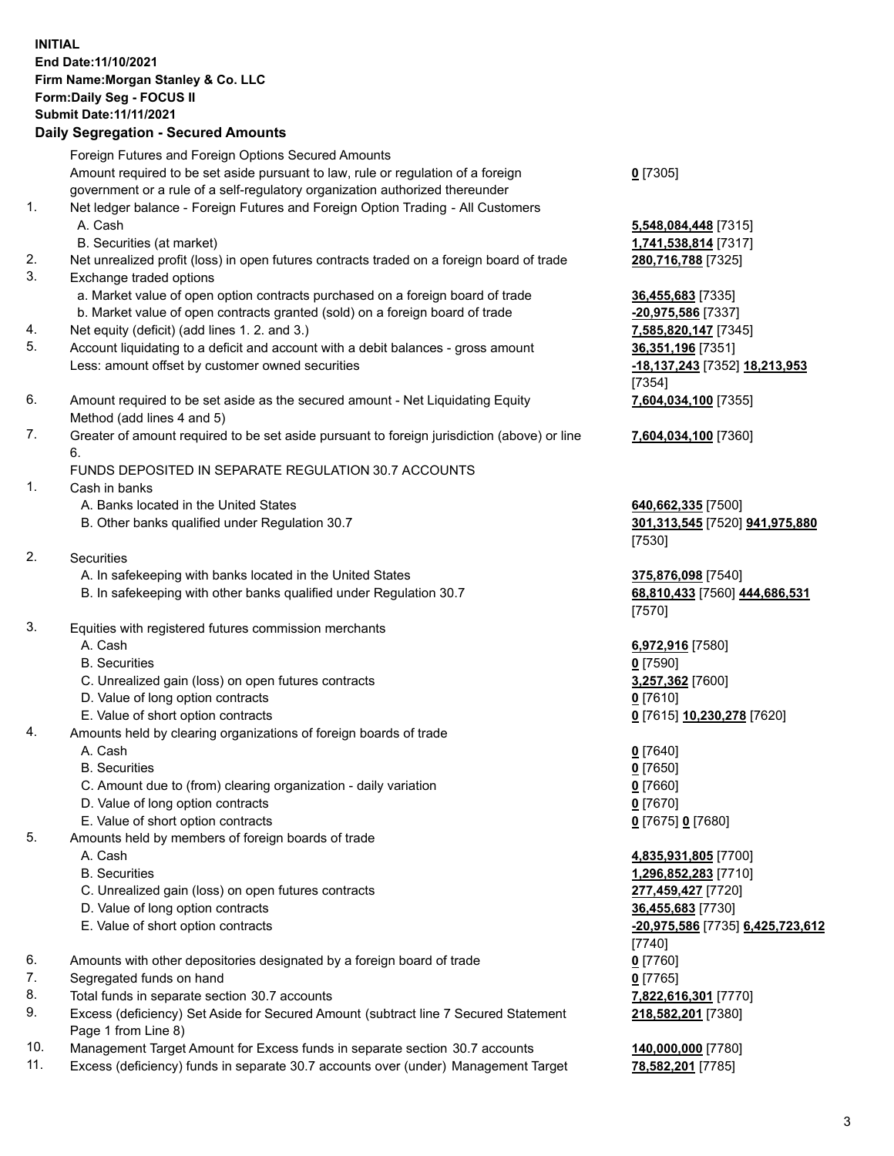## **INITIAL End Date:11/10/2021 Firm Name:Morgan Stanley & Co. LLC Form:Daily Seg - FOCUS II Submit Date:11/11/2021**

## **Daily Segregation - Secured Amounts**

Foreign Futures and Foreign Options Secured Amounts Amount required to be set aside pursuant to law, rule or regulation of a foreign government or a rule of a self-regulatory organization authorized thereunder

- 1. Net ledger balance Foreign Futures and Foreign Option Trading All Customers A. Cash **5,548,084,448** [7315]
	- B. Securities (at market) **1,741,538,814** [7317]
- 2. Net unrealized profit (loss) in open futures contracts traded on a foreign board of trade **280,716,788** [7325]
- 3. Exchange traded options
	- a. Market value of open option contracts purchased on a foreign board of trade **36,455,683** [7335]
	- b. Market value of open contracts granted (sold) on a foreign board of trade **-20,975,586** [7337]
- 4. Net equity (deficit) (add lines 1. 2. and 3.) **7,585,820,147** [7345]
- 5. Account liquidating to a deficit and account with a debit balances gross amount **36,351,196** [7351] Less: amount offset by customer owned securities **-18,137,243** [7352] **18,213,953**
- 6. Amount required to be set aside as the secured amount Net Liquidating Equity Method (add lines 4 and 5)
- 7. Greater of amount required to be set aside pursuant to foreign jurisdiction (above) or line 6.

## FUNDS DEPOSITED IN SEPARATE REGULATION 30.7 ACCOUNTS

- 1. Cash in banks
	- A. Banks located in the United States **640,662,335** [7500]
	- B. Other banks qualified under Regulation 30.7 **301,313,545** [7520] **941,975,880**
- 2. Securities
	- A. In safekeeping with banks located in the United States **375,876,098** [7540]
	- B. In safekeeping with other banks qualified under Regulation 30.7 **68,810,433** [7560] **444,686,531**
- 3. Equities with registered futures commission merchants
	-
	- B. Securities **0** [7590]
	- C. Unrealized gain (loss) on open futures contracts **3,257,362** [7600]
	- D. Value of long option contracts **0** [7610]
	- E. Value of short option contracts **0** [7615] **10,230,278** [7620]
- 4. Amounts held by clearing organizations of foreign boards of trade
	- A. Cash **0** [7640]
	- B. Securities **0** [7650]
	- C. Amount due to (from) clearing organization daily variation **0** [7660]
	- D. Value of long option contracts **0** [7670]
	- E. Value of short option contracts **0** [7675] **0** [7680]
- 5. Amounts held by members of foreign boards of trade
	-
	-
	- C. Unrealized gain (loss) on open futures contracts **277,459,427** [7720]
	- D. Value of long option contracts **36,455,683** [7730]
	- E. Value of short option contracts **-20,975,586** [7735] **6,425,723,612**
- 6. Amounts with other depositories designated by a foreign board of trade **0** [7760]
- 7. Segregated funds on hand **0** [7765]
- 8. Total funds in separate section 30.7 accounts **7,822,616,301** [7770]
- 9. Excess (deficiency) Set Aside for Secured Amount (subtract line 7 Secured Statement Page 1 from Line 8)
- 10. Management Target Amount for Excess funds in separate section 30.7 accounts **140,000,000** [7780]
- 11. Excess (deficiency) funds in separate 30.7 accounts over (under) Management Target **78,582,201** [7785]

**0** [7305]

[7354] **7,604,034,100** [7355]

**7,604,034,100** [7360]

[7530]

[7570]

A. Cash **6,972,916** [7580]

 A. Cash **4,835,931,805** [7700] B. Securities **1,296,852,283** [7710] [7740] **218,582,201** [7380]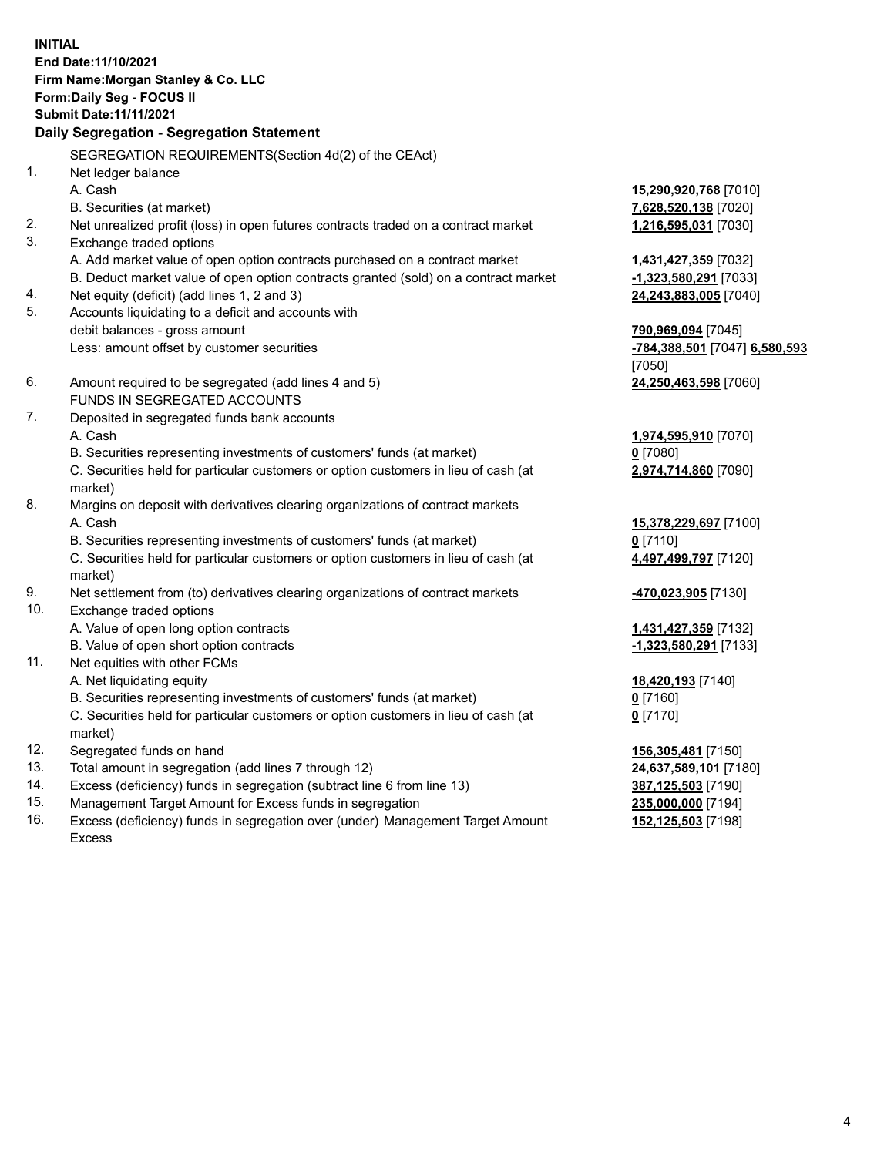**INITIAL End Date:11/10/2021 Firm Name:Morgan Stanley & Co. LLC Form:Daily Seg - FOCUS II Submit Date:11/11/2021 Daily Segregation - Segregation Statement** SEGREGATION REQUIREMENTS(Section 4d(2) of the CEAct) 1. Net ledger balance A. Cash **15,290,920,768** [7010] B. Securities (at market) **7,628,520,138** [7020] 2. Net unrealized profit (loss) in open futures contracts traded on a contract market **1,216,595,031** [7030] 3. Exchange traded options A. Add market value of open option contracts purchased on a contract market **1,431,427,359** [7032] B. Deduct market value of open option contracts granted (sold) on a contract market **-1,323,580,291** [7033] 4. Net equity (deficit) (add lines 1, 2 and 3) **24,243,883,005** [7040] 5. Accounts liquidating to a deficit and accounts with debit balances - gross amount **790,969,094** [7045] Less: amount offset by customer securities **-784,388,501** [7047] **6,580,593** [7050] 6. Amount required to be segregated (add lines 4 and 5) **24,250,463,598** [7060] FUNDS IN SEGREGATED ACCOUNTS 7. Deposited in segregated funds bank accounts A. Cash **1,974,595,910** [7070] B. Securities representing investments of customers' funds (at market) **0** [7080] C. Securities held for particular customers or option customers in lieu of cash (at market) **2,974,714,860** [7090] 8. Margins on deposit with derivatives clearing organizations of contract markets A. Cash **15,378,229,697** [7100] B. Securities representing investments of customers' funds (at market) **0** [7110] C. Securities held for particular customers or option customers in lieu of cash (at market) **4,497,499,797** [7120] 9. Net settlement from (to) derivatives clearing organizations of contract markets **-470,023,905** [7130] 10. Exchange traded options A. Value of open long option contracts **1,431,427,359** [7132] B. Value of open short option contracts **-1,323,580,291** [7133] 11. Net equities with other FCMs A. Net liquidating equity **18,420,193** [7140] B. Securities representing investments of customers' funds (at market) **0** [7160] C. Securities held for particular customers or option customers in lieu of cash (at market) **0** [7170] 12. Segregated funds on hand **156,305,481** [7150] 13. Total amount in segregation (add lines 7 through 12) **24,637,589,101** [7180] 14. Excess (deficiency) funds in segregation (subtract line 6 from line 13) **387,125,503** [7190] 15. Management Target Amount for Excess funds in segregation **235,000,000** [7194]

16. Excess (deficiency) funds in segregation over (under) Management Target Amount Excess

**152,125,503** [7198]